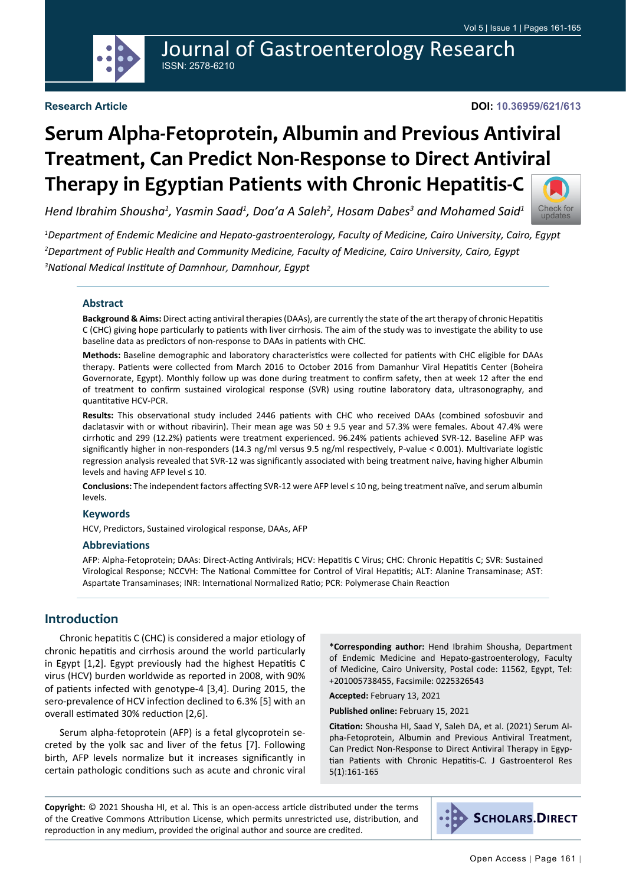

## Journal of Gastroenterology Research ISSN: 2578-6210

#### **Research Article**

#### **DOI: 10.36959/621/613**

# **Serum Alpha-Fetoprotein, Albumin and Previous Antiviral Treatment, Can Predict Non-Response to Direct Antiviral Therapy in Egyptian Patients with Chronic Hepatitis-C**

*Hend Ibrahim Shousha1 , Yasmin Saad1 , Doa'a A Saleh2 , Hosam Dabes3 and Mohamed Said1*



*1 Department of Endemic Medicine and Hepato-gastroenterology, Faculty of Medicine, Cairo University, Cairo, Egypt 2 Department of Public Health and Community Medicine, Faculty of Medicine, Cairo University, Cairo, Egypt 3 National Medical Institute of Damnhour, Damnhour, Egypt*

#### **Abstract**

**Background & Aims:** Direct acting antiviral therapies (DAAs), are currently the state of the art therapy of chronic Hepatitis C (CHC) giving hope particularly to patients with liver cirrhosis. The aim of the study was to investigate the ability to use baseline data as predictors of non-response to DAAs in patients with CHC.

**Methods:** Baseline demographic and laboratory characteristics were collected for patients with CHC eligible for DAAs therapy. Patients were collected from March 2016 to October 2016 from Damanhur Viral Hepatitis Center (Boheira Governorate, Egypt). Monthly follow up was done during treatment to confirm safety, then at week 12 after the end of treatment to confirm sustained virological response (SVR) using routine laboratory data, ultrasonography, and quantitative HCV-PCR.

**Results:** This observational study included 2446 patients with CHC who received DAAs (combined sofosbuvir and daclatasvir with or without ribavirin). Their mean age was 50 ± 9.5 year and 57.3% were females. About 47.4% were cirrhotic and 299 (12.2%) patients were treatment experienced. 96.24% patients achieved SVR-12. Baseline AFP was significantly higher in non-responders (14.3 ng/ml versus 9.5 ng/ml respectively, P-value < 0.001). Multivariate logistic regression analysis revealed that SVR-12 was significantly associated with being treatment naïve, having higher Albumin levels and having AFP level ≤ 10.

**Conclusions:** The independent factors affecting SVR-12 were AFP level ≤ 10 ng, being treatment naïve, and serum albumin levels.

#### **Keywords**

HCV, Predictors, Sustained virological response, DAAs, AFP

#### **Abbreviations**

AFP: Alpha-Fetoprotein; DAAs: Direct-Acting Antivirals; HCV: Hepatitis C Virus; CHC: Chronic Hepatitis C; SVR: Sustained Virological Response; NCCVH: The National Committee for Control of Viral Hepatitis; ALT: Alanine Transaminase; AST: Aspartate Transaminases; INR: International Normalized Ratio; PCR: Polymerase Chain Reaction

### **Introduction**

Chronic hepatitis C (CHC) is considered a major etiology of chronic hepatitis and cirrhosis around the world particularly in Egypt [1,2]. Egypt previously had the highest Hepatitis C virus (HCV) burden worldwide as reported in 2008, with 90% of patients infected with genotype-4 [3,4]. During 2015, the sero-prevalence of HCV infection declined to 6.3% [5] with an overall estimated 30% reduction [2,6].

Serum alpha-fetoprotein (AFP) is a fetal glycoprotein secreted by the yolk sac and liver of the fetus [7]. Following birth, AFP levels normalize but it increases significantly in certain pathologic conditions such as acute and chronic viral **\*Corresponding author:** Hend Ibrahim Shousha, Department of Endemic Medicine and Hepato-gastroenterology, Faculty of Medicine, Cairo University, Postal code: 11562, Egypt, Tel: +201005738455, Facsimile: 0225326543

**Accepted:** February 13, 2021

**Published online:** February 15, 2021

**Citation:** Shousha HI, Saad Y, Saleh DA, et al. (2021) Serum Alpha-Fetoprotein, Albumin and Previous Antiviral Treatment, Can Predict Non-Response to Direct Antiviral Therapy in Egyptian Patients with Chronic Hepatitis-C. J Gastroenterol Res 5(1):161-165

**Copyright:** © 2021 Shousha HI, et al. This is an open-access article distributed under the terms of the Creative Commons Attribution License, which permits unrestricted use, distribution, and reproduction in any medium, provided the original author and source are credited.

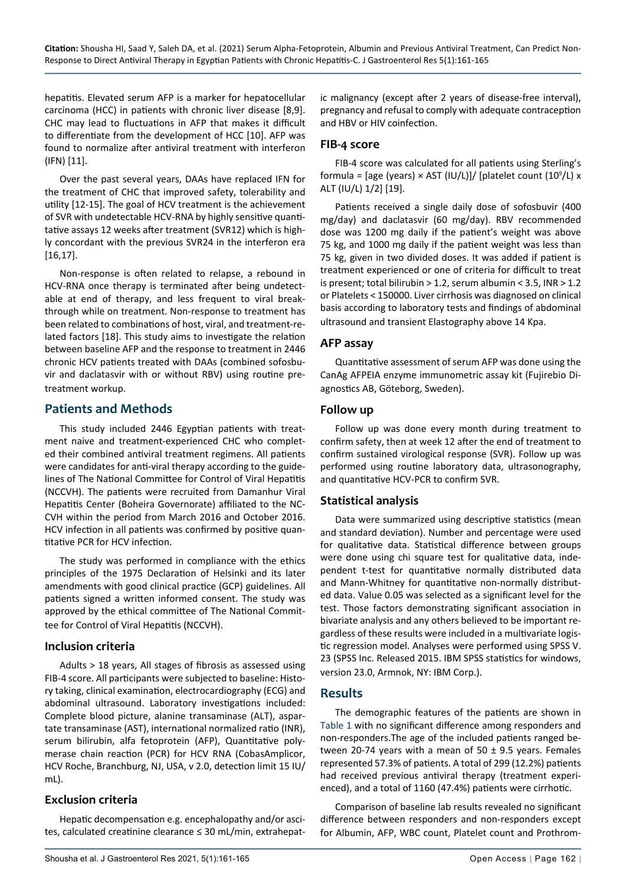hepatitis. Elevated serum AFP is a marker for hepatocellular carcinoma (HCC) in patients with chronic liver disease [8,9]. CHC may lead to fluctuations in AFP that makes it difficult to differentiate from the development of HCC [10]. AFP was found to normalize after antiviral treatment with interferon (IFN) [11].

Over the past several years, DAAs have replaced IFN for the treatment of CHC that improved safety, tolerability and utility [12-15]. The goal of HCV treatment is the achievement of SVR with undetectable HCV-RNA by highly sensitive quantitative assays 12 weeks after treatment (SVR12) which is highly concordant with the previous SVR24 in the interferon era [16,17].

Non-response is often related to relapse, a rebound in HCV-RNA once therapy is terminated after being undetectable at end of therapy, and less frequent to viral breakthrough while on treatment. Non-response to treatment has been related to combinations of host, viral, and treatment-related factors [18]. This study aims to investigate the relation between baseline AFP and the response to treatment in 2446 chronic HCV patients treated with DAAs (combined sofosbuvir and daclatasvir with or without RBV) using routine pretreatment workup.

## **Patients and Methods**

This study included 2446 Egyptian patients with treatment naive and treatment-experienced CHC who completed their combined antiviral treatment regimens. All patients were candidates for anti-viral therapy according to the guidelines of The National Committee for Control of Viral Hepatitis (NCCVH). The patients were recruited from Damanhur Viral Hepatitis Center (Boheira Governorate) affiliated to the NC-CVH within the period from March 2016 and October 2016. HCV infection in all patients was confirmed by positive quantitative PCR for HCV infection.

The study was performed in compliance with the ethics principles of the 1975 Declaration of Helsinki and its later amendments with good clinical practice (GCP) guidelines. All patients signed a written informed consent. The study was approved by the ethical committee of The National Committee for Control of Viral Hepatitis (NCCVH).

### **Inclusion criteria**

Adults > 18 years, All stages of fibrosis as assessed using FIB-4 score. All participants were subjected to baseline: History taking, clinical examination, electrocardiography (ECG) and abdominal ultrasound. Laboratory investigations included: Complete blood picture, alanine transaminase (ALT), aspartate transaminase (AST), international normalized ratio (INR), serum bilirubin, alfa fetoprotein (AFP), Quantitative polymerase chain reaction (PCR) for HCV RNA (CobasAmplicor, HCV Roche, Branchburg, NJ, USA, v 2.0, detection limit 15 IU/ mL).

## **Exclusion criteria**

Hepatic decompensation e.g. encephalopathy and/or ascites, calculated creatinine clearance ≤ 30 mL/min, extrahepat-

ic malignancy (except after 2 years of disease-free interval), pregnancy and refusal to comply with adequate contraception and HBV or HIV coinfection.

## **FIB-4 score**

FIB-4 score was calculated for all patients using Sterling's formula = [age (years)  $\times$  AST (IU/L)]/ [platelet count (10<sup>9</sup>/L)  $\times$ ALT (IU/L) 1/2] [19].

Patients received a single daily dose of sofosbuvir (400 mg/day) and daclatasvir (60 mg/day). RBV recommended dose was 1200 mg daily if the patient's weight was above 75 kg, and 1000 mg daily if the patient weight was less than 75 kg, given in two divided doses. It was added if patient is treatment experienced or one of criteria for difficult to treat is present; total bilirubin  $> 1.2$ , serum albumin < 3.5, INR  $> 1.2$ or Platelets < 150000. Liver cirrhosis was diagnosed on clinical basis according to laboratory tests and findings of abdominal ultrasound and transient Elastography above 14 Kpa.

### **AFP assay**

Quantitative assessment of serum AFP was done using the CanAg AFPEIA enzyme immunometric assay kit (Fujirebio Diagnostics AB, Göteborg, Sweden).

### **Follow up**

Follow up was done every month during treatment to confirm safety, then at week 12 after the end of treatment to confirm sustained virological response (SVR). Follow up was performed using routine laboratory data, ultrasonography, and quantitative HCV-PCR to confirm SVR.

## **Statistical analysis**

Data were summarized using descriptive statistics (mean and standard deviation). Number and percentage were used for qualitative data. Statistical difference between groups were done using chi square test for qualitative data, independent t-test for quantitative normally distributed data and Mann-Whitney for quantitative non-normally distributed data. Value 0.05 was selected as a significant level for the test. Those factors demonstrating significant association in bivariate analysis and any others believed to be important regardless of these results were included in a multivariate logistic regression model. Analyses were performed using SPSS V. 23 (SPSS Inc. Released 2015. IBM SPSS statistics for windows, version 23.0, Armnok, NY: IBM Corp.).

### **Results**

The demographic features of the patients are shown in [Table 1](#page-2-0) with no significant difference among responders and non-responders.The age of the included patients ranged between 20-74 years with a mean of 50  $\pm$  9.5 years. Females represented 57.3% of patients. A total of 299 (12.2%) patients had received previous antiviral therapy (treatment experienced), and a total of 1160 (47.4%) patients were cirrhotic.

Comparison of baseline lab results revealed no significant difference between responders and non-responders except for Albumin, AFP, WBC count, Platelet count and Prothrom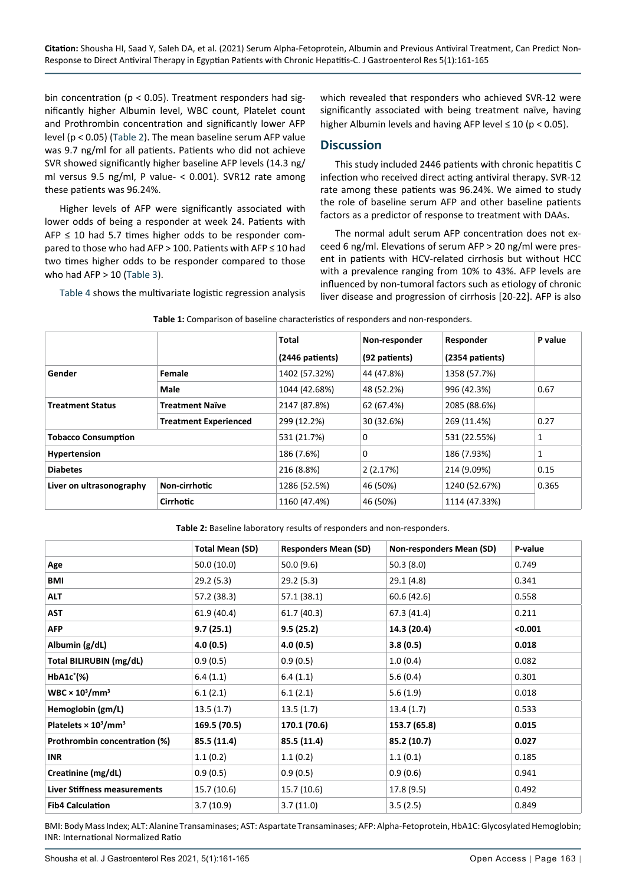bin concentration (p < 0.05). Treatment responders had significantly higher Albumin level, WBC count, Platelet count and Prothrombin concentration and significantly lower AFP level (p < 0.05) [\(Table 2\)](#page-2-1). The mean baseline serum AFP value was 9.7 ng/ml for all patients. Patients who did not achieve SVR showed significantly higher baseline AFP levels (14.3 ng/ ml versus 9.5 ng/ml, P value- < 0.001). SVR12 rate among these patients was 96.24%.

Higher levels of AFP were significantly associated with lower odds of being a responder at week 24. Patients with  $AFP \leq 10$  had 5.7 times higher odds to be responder compared to those who had AFP > 100. Patients with AFP ≤ 10 had two times higher odds to be responder compared to those who had  $AFP > 10$  [\(Table 3](#page-3-0)).

[Table 4](#page-3-1) shows the multivariate logistic regression analysis

which revealed that responders who achieved SVR-12 were significantly associated with being treatment naïve, having higher Albumin levels and having AFP level  $\leq 10$  (p < 0.05).

#### **Discussion**

This study included 2446 patients with chronic hepatitis C infection who received direct acting antiviral therapy. SVR-12 rate among these patients was 96.24%. We aimed to study the role of baseline serum AFP and other baseline patients factors as a predictor of response to treatment with DAAs.

The normal adult serum AFP concentration does not exceed 6 ng/ml. Elevations of serum AFP > 20 ng/ml were present in patients with HCV-related cirrhosis but without HCC with a prevalence ranging from 10% to 43%. AFP levels are influenced by non-tumoral factors such as etiology of chronic liver disease and progression of cirrhosis [20-22]. AFP is also

|                            |                              | Total           | Non-responder | Responder       | P value |
|----------------------------|------------------------------|-----------------|---------------|-----------------|---------|
|                            |                              | (2446 patients) | (92 patients) | (2354 patients) |         |
| Gender                     | Female                       | 1402 (57.32%)   | 44 (47.8%)    | 1358 (57.7%)    |         |
|                            | Male                         | 1044 (42.68%)   | 48 (52.2%)    | 996 (42.3%)     | 0.67    |
| <b>Treatment Status</b>    | Treatment Naïve              | 2147 (87.8%)    | 62 (67.4%)    | 2085 (88.6%)    |         |
|                            | <b>Treatment Experienced</b> | 299 (12.2%)     | 30 (32.6%)    | 269 (11.4%)     | 0.27    |
| <b>Tobacco Consumption</b> |                              | 531 (21.7%)     | 0             | 531 (22.55%)    | 1       |
| Hypertension               |                              | 186 (7.6%)      | 0             | 186 (7.93%)     | 1       |
| <b>Diabetes</b>            |                              | 216 (8.8%)      | 2(2.17%)      | 214 (9.09%)     | 0.15    |
| Liver on ultrasonography   | Non-cirrhotic                | 1286 (52.5%)    | 46 (50%)      | 1240 (52.67%)   | 0.365   |
|                            | <b>Cirrhotic</b>             | 1160 (47.4%)    | 46 (50%)      | 1114 (47.33%)   |         |

<span id="page-2-0"></span>**Table 1:** Comparison of baseline characteristics of responders and non-responders.

<span id="page-2-1"></span>**Table 2:** Baseline laboratory results of responders and non-responders.

|                                                     | Total Mean (SD) | <b>Responders Mean (SD)</b> | Non-responders Mean (SD) | P-value |
|-----------------------------------------------------|-----------------|-----------------------------|--------------------------|---------|
| Age                                                 | 50.0 (10.0)     | 50.0(9.6)                   | 50.3(8.0)                | 0.749   |
| BMI                                                 | 29.2(5.3)       | 29.2(5.3)                   | 29.1 (4.8)               | 0.341   |
| <b>ALT</b>                                          | 57.2 (38.3)     | 57.1(38.1)                  | 60.6 (42.6)              | 0.558   |
| <b>AST</b>                                          | 61.9 (40.4)     | 61.7 (40.3)                 | 67.3 (41.4)              | 0.211   |
| <b>AFP</b>                                          | 9.7(25.1)       | 9.5(25.2)                   | 14.3 (20.4)              | < 0.001 |
| Albumin (g/dL)                                      | 4.0(0.5)        | 4.0(0.5)                    | 3.8(0.5)                 | 0.018   |
| Total BILIRUBIN (mg/dL)                             | 0.9(0.5)        | 0.9(0.5)                    | 1.0(0.4)                 | 0.082   |
| $HbA1c^*(% )$                                       | 6.4(1.1)        | 6.4(1.1)                    | 5.6(0.4)                 | 0.301   |
| WBC $\times$ 10 <sup>3</sup> /mm <sup>3</sup>       | 6.1(2.1)        | 6.1(2.1)                    | 5.6(1.9)                 | 0.018   |
| Hemoglobin (gm/L)                                   | 13.5(1.7)       | 13.5(1.7)                   | 13.4(1.7)                | 0.533   |
| Platelets $\times$ 10 <sup>3</sup> /mm <sup>3</sup> | 169.5 (70.5)    | 170.1 (70.6)                | 153.7 (65.8)             | 0.015   |
| Prothrombin concentration (%)                       | 85.5 (11.4)     | 85.5 (11.4)                 | 85.2 (10.7)              | 0.027   |
| <b>INR</b>                                          | 1.1(0.2)        | 1.1(0.2)                    | 1.1(0.1)                 | 0.185   |
| Creatinine (mg/dL)                                  | 0.9(0.5)        | 0.9(0.5)                    | 0.9(0.6)                 | 0.941   |
| Liver Stiffness measurements                        | 15.7 (10.6)     | 15.7 (10.6)                 | 17.8 (9.5)               | 0.492   |
| <b>Fib4 Calculation</b>                             | 3.7(10.9)       | 3.7(11.0)                   | 3.5(2.5)                 | 0.849   |

BMI: Body Mass Index; ALT: Alanine Transaminases; AST: Aspartate Transaminases; AFP: Alpha-Fetoprotein, HbA1C: Glycosylated Hemoglobin; INR: International Normalized Ratio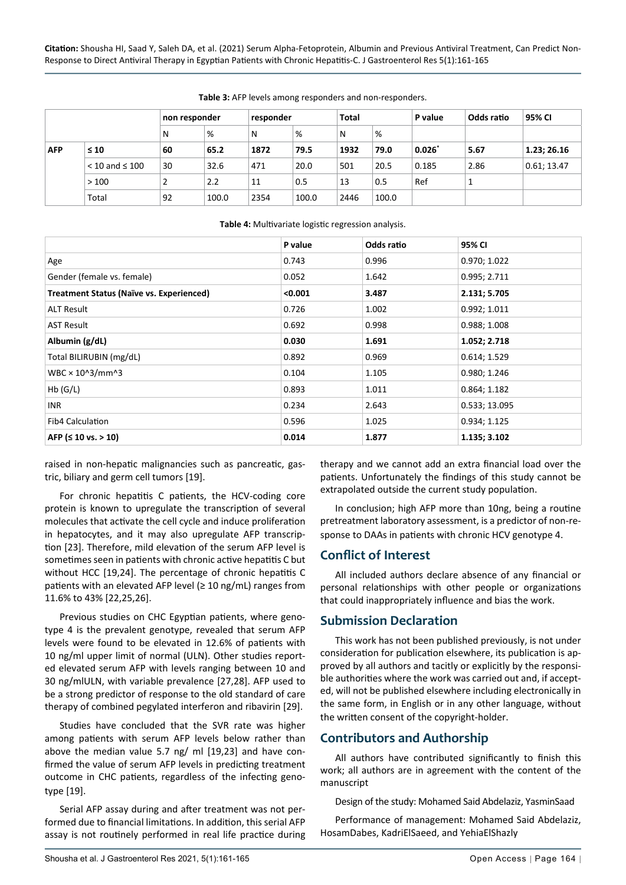|            |                       | non responder |       | responder |       | <b>Total</b> |       | P value  | Odds ratio | 95% CI      |
|------------|-----------------------|---------------|-------|-----------|-------|--------------|-------|----------|------------|-------------|
|            |                       | N             | %     | N         | %     | N            | %     |          |            |             |
| <b>AFP</b> | $\leq 10$             | 60            | 65.2  | 1872      | 79.5  | 1932         | 79.0  | $0.026*$ | 5.67       | 1.23; 26.16 |
|            | $<$ 10 and $\leq$ 100 | 30            | 32.6  | 471       | 20.0  | 501          | 20.5  | 0.185    | 2.86       | 0.61; 13.47 |
|            | >100                  | C             | 2.2   | 11        | 0.5   | 13           | 0.5   | Ref      | 1          |             |
|            | Total                 | 92            | 100.0 | 2354      | 100.0 | 2446         | 100.0 |          |            |             |

<span id="page-3-0"></span>**Table 3:** AFP levels among responders and non-responders.

#### <span id="page-3-1"></span>**Table 4:** Multivariate logistic regression analysis.

|                                                 | P value | Odds ratio | 95% CI        |
|-------------------------------------------------|---------|------------|---------------|
| Age                                             | 0.743   | 0.996      | 0.970; 1.022  |
| Gender (female vs. female)                      | 0.052   | 1.642      | 0.995; 2.711  |
| <b>Treatment Status (Naïve vs. Experienced)</b> | < 0.001 | 3.487      | 2.131; 5.705  |
| <b>ALT Result</b>                               | 0.726   | 1.002      | 0.992; 1.011  |
| <b>AST Result</b>                               | 0.692   | 0.998      | 0.988; 1.008  |
| Albumin (g/dL)                                  | 0.030   | 1.691      | 1.052; 2.718  |
| Total BILIRUBIN (mg/dL)                         | 0.892   | 0.969      | 0.614; 1.529  |
| WBC × 10^3/mm^3                                 | 0.104   | 1.105      | 0.980; 1.246  |
| Hb(G/L)                                         | 0.893   | 1.011      | 0.864; 1.182  |
| <b>INR</b>                                      | 0.234   | 2.643      | 0.533; 13.095 |
| <b>Fib4 Calculation</b>                         | 0.596   | 1.025      | 0.934; 1.125  |
| AFP ( $\leq 10$ vs. $> 10$ )                    | 0.014   | 1.877      | 1.135; 3.102  |

raised in non-hepatic malignancies such as pancreatic, gastric, biliary and germ cell tumors [19].

For chronic hepatitis C patients, the HCV-coding core protein is known to upregulate the transcription of several molecules that activate the cell cycle and induce proliferation in hepatocytes, and it may also upregulate AFP transcription [23]. Therefore, mild elevation of the serum AFP level is sometimes seen in patients with chronic active hepatitis C but without HCC [19,24]. The percentage of chronic hepatitis C patients with an elevated AFP level ( $\geq 10$  ng/mL) ranges from 11.6% to 43% [22,25,26].

Previous studies on CHC Egyptian patients, where genotype 4 is the prevalent genotype, revealed that serum AFP levels were found to be elevated in 12.6% of patients with 10 ng/ml upper limit of normal (ULN). Other studies reported elevated serum AFP with levels ranging between 10 and 30 ng/mlULN, with variable prevalence [27,28]. AFP used to be a strong predictor of response to the old standard of care therapy of combined pegylated interferon and ribavirin [29].

Studies have concluded that the SVR rate was higher among patients with serum AFP levels below rather than above the median value 5.7 ng/ ml [19,23] and have confirmed the value of serum AFP levels in predicting treatment outcome in CHC patients, regardless of the infecting genotype [19].

Serial AFP assay during and after treatment was not performed due to financial limitations. In addition, this serial AFP assay is not routinely performed in real life practice during therapy and we cannot add an extra financial load over the patients. Unfortunately the findings of this study cannot be extrapolated outside the current study population.

In conclusion; high AFP more than 10ng, being a routine pretreatment laboratory assessment, is a predictor of non-response to DAAs in patients with chronic HCV genotype 4.

#### **Conflict of Interest**

All included authors declare absence of any financial or personal relationships with other people or organizations that could inappropriately influence and bias the work.

### **Submission Declaration**

This work has not been published previously, is not under consideration for publication elsewhere, its publication is approved by all authors and tacitly or explicitly by the responsible authorities where the work was carried out and, if accepted, will not be published elsewhere including electronically in the same form, in English or in any other language, without the written consent of the copyright-holder.

### **Contributors and Authorship**

All authors have contributed significantly to finish this work; all authors are in agreement with the content of the manuscript

Design of the study: Mohamed Said Abdelaziz, YasminSaad

Performance of management: Mohamed Said Abdelaziz, HosamDabes, KadriElSaeed, and YehiaElShazly